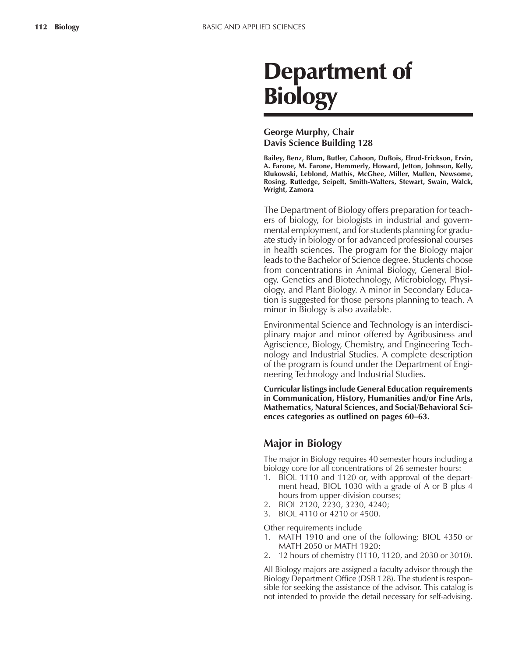# Department of **Biology**

## **George Murphy, Chair Davis Science Building 128**

**Bailey, Benz, Blum, Butler, Cahoon, DuBois, Elrod-Erickson, Ervin, A. Farone, M. Farone, Hemmerly, Howard, Jetton, Johnson, Kelly, Klukowski, Leblond, Mathis, McGhee, Miller, Mullen, Newsome, Rosing, Rutledge, Seipelt, Smith-Walters, Stewart, Swain, Walck, Wright, Zamora**

The Department of Biology offers preparation for teachers of biology, for biologists in industrial and governmental employment, and for students planning for graduate study in biology or for advanced professional courses in health sciences. The program for the Biology major leads to the Bachelor of Science degree. Students choose from concentrations in Animal Biology, General Biology, Genetics and Biotechnology, Microbiology, Physiology, and Plant Biology. A minor in Secondary Education is suggested for those persons planning to teach. A minor in Biology is also available.

Environmental Science and Technology is an interdisciplinary major and minor offered by Agribusiness and Agriscience, Biology, Chemistry, and Engineering Technology and Industrial Studies. A complete description of the program is found under the Department of Engineering Technology and Industrial Studies.

**Curricular listings include General Education requirements in Communication, History, Humanities and/or Fine Arts, Mathematics, Natural Sciences, and Social/Behavioral Sci**ences categories as outlined on pages 60–63.

## **Major in Biology**

The major in Biology requires 40 semester hours including a biology core for all concentrations of 26 semester hours:

- 1. BIOL 1110 and 1120 or, with approval of the department head, BIOL 1030 with a grade of A or B plus 4 hours from upper-division courses;
- 2. BIOL 2120, 2230, 3230, 4240;
- 3. BIOL 4110 or 4210 or 4500.

Other requirements include

- 1. MATH 1910 and one of the following: BIOL 4350 or MATH 2050 or MATH 1920;
- 2. 12 hours of chemistry (1110, 1120, and 2030 or 3010).

All Biology majors are assigned a faculty advisor through the Biology Department Office (DSB 128). The student is responsible for seeking the assistance of the advisor. This catalog is not intended to provide the detail necessary for self-advising.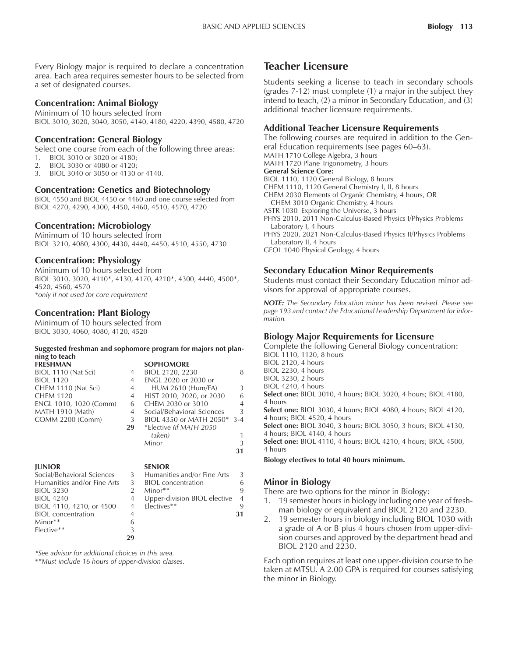Every Biology major is required to declare a concentration area. Each area requires semester hours to be selected from a set of designated courses.

#### **Concentration: Animal Biology**

Minimum of 10 hours selected from BIOL 3010, 3020, 3040, 3050, 4140, 4180, 4220, 4390, 4580, 4720

#### **Concentration: General Biology**

Select one course from each of the following three areas: 1. BIOL 3010 or 3020 or 4180;

- 2. BIOL 3030 or 4080 or 4120;
- 3. BIOL 3040 or 3050 or 4130 or 4140.

#### **Concentration: Genetics and Biotechnology**

BIOL 4550 and BIOL 4450 or 4460 and one course selected from BIOL 4270, 4290, 4300, 4450, 4460, 4510, 4570, 4720

#### **Concentration: Microbiology**

Minimum of 10 hours selected from BIOL 3210, 4080, 4300, 4430, 4440, 4450, 4510, 4550, 4730

#### **Concentration: Physiology**

Minimum of 10 hours selected from BIOL 3010, 3020, 4110\*, 4130, 4170, 4210\*, 4300, 4440, 4500\*, 4520, 4560, 4570 *\*only if not used for core requirement*

#### **Concentration: Plant Biology**

Minimum of 10 hours selected from BIOL 3030, 4060, 4080, 4120, 4520

#### **Suggested freshman and sophomore program for majors not planning to teach SOPHOMORE**

| <b>FRESHMAN</b>         |                | <b>SUPFIUMUNE</b>       |
|-------------------------|----------------|-------------------------|
| BIOL 1110 (Nat Sci)     | 4              | BIOL 2120, 2230         |
| <b>BIOL 1120</b>        | $\overline{4}$ | ENGL 2020 or 2030 or    |
| CHEM 1110 (Nat Sci)     | 4              | <b>HUM 2610 (Hum/FA</b> |
| <b>CHEM 1120</b>        |                | 4 HIST 2010, 2020, or 2 |
| ENGL 1010, 1020 (Comm)  |                | 6 CHEM 2030 or 3010     |
| <b>MATH 1910 (Math)</b> | 4              | Social/Behavioral Scien |
| <b>COMM 2200 (Comm)</b> | 3              | BIOL 4350 or MATH 2     |
|                         |                |                         |

| BIOL 1110 (Nat Sci)    | 4  | BIOL 2120, 2230            | 8       |
|------------------------|----|----------------------------|---------|
| <b>BIOL 1120</b>       | 4  | ENGL 2020 or 2030 or       |         |
| CHEM 1110 (Nat Sci)    | 4  | <b>HUM 2610 (Hum/FA)</b>   | 3       |
| CHEM 1120              | 4  | HIST 2010, 2020, or 2030   | 6       |
| ENGL 1010, 1020 (Comm) | 6  | CHEM 2030 or 3010          | 4       |
| MATH 1910 (Math)       | 4  | Social/Behavioral Sciences | 3       |
| COMM 2200 (Comm)       | 3  | BIOL 4350 or MATH 2050*    | $3 - 4$ |
|                        | 29 | *Elective (if MATH 2050)   |         |
|                        |    | taken)                     |         |
|                        |    | Minor                      | 3       |
|                        |    |                            | 31      |
| 1111000                |    | $C F$ . $N$                |         |
|                        |    |                            |         |

#### **JUNIOR SENIOR**

| Social/Behavioral Sciences  | 3             |
|-----------------------------|---------------|
| Humanities and/or Fine Arts | 3             |
| <b>BIOL 3230</b>            | $\mathcal{P}$ |
| <b>BIOL 4240</b>            | 4             |
| BIOL 4110, 4210, or 4500    | 4             |
| <b>BIOL</b> concentration   | 4             |
| Minor**                     | 6             |
| Elective**                  | 3             |
|                             |               |

| Social/Behavioral Sciences  |                           | 3 Humanities and/or Fine Arts | -3             |
|-----------------------------|---------------------------|-------------------------------|----------------|
| Humanities and/or Fine Arts | $\overline{\phantom{a}3}$ | <b>BIOL</b> concentration     | 6              |
| <b>BIOL 3230</b>            |                           | $Minor**$                     | 9              |
| <b>BIOL 4240</b>            |                           | Upper-division BIOL elective  | $\overline{4}$ |
| BIOL 4110, 4210, or 4500    | $\overline{4}$            | Electives**                   | 9              |
| <b>BIOL</b> concentration   |                           |                               | 31             |
| $Miner**$                   |                           |                               |                |

*\*See advisor for additional choices in this area.*

*\*\*Must include 16 hours of upper-division classes.*

**29**

## **Teacher Licensure**

Students seeking a license to teach in secondary schools (grades 7-12) must complete (1) a major in the subject they intend to teach, (2) a minor in Secondary Education, and (3) additional teacher licensure requirements.

#### **Additional Teacher Licensure Requirements**

The following courses are required in addition to the General Education requirements (see pages 60–63). MATH 1710 College Algebra, 3 hours MATH 1720 Plane Trigonometry, 3 hours **General Science Core:** BIOL 1110, 1120 General Biology, 8 hours CHEM 1110, 1120 General Chemistry I, II, 8 hours CHEM 2030 Elements of Organic Chemistry, 4 hours, OR CHEM 3010 Organic Chemistry, 4 hours ASTR 1030 Exploring the Universe, 3 hours PHYS 2010, 2011 Non-Calculus-Based Physics I/Physics Problems Laboratory I, 4 hours PHYS 2020, 2021 Non-Calculus-Based Physics II/Physics Problems Laboratory II, 4 hours

GEOL 1040 Physical Geology, 4 hours

#### **Secondary Education Minor Requirements**

Students must contact their Secondary Education minor advisors for approval of appropriate courses.

*NOTE: The Secondary Education minor has been revised. Please see page 193 and contact the Educational Leadership Department for information.*

#### **Biology Major Requirements for Licensure**

Complete the following General Biology concentration: BIOL 1110, 1120, 8 hours

BIOL 2120, 4 hours BIOL 2230, 4 hours BIOL 3230, 2 hours BIOL 4240, 4 hours **Select one:** BIOL 3010, 4 hours; BIOL 3020, 4 hours; BIOL 4180, 4 hours **Select one:** BIOL 3030, 4 hours; BIOL 4080, 4 hours; BIOL 4120, 4 hours; BIOL 4520, 4 hours **Select one:** BIOL 3040, 3 hours; BIOL 3050, 3 hours; BIOL 4130, 4 hours; BIOL 4140, 4 hours **Select one:** BIOL 4110, 4 hours; BIOL 4210, 4 hours; BIOL 4500, 4 hours **Biology electives to total 40 hours minimum.**

#### **Minor in Biology**

There are two options for the minor in Biology:

- 1. 19 semester hours in biology including one year of freshman biology or equivalent and BIOL 2120 and 2230.
- 2. 19 semester hours in biology including BIOL 1030 with a grade of A or B plus 4 hours chosen from upper-division courses and approved by the department head and BIOL 2120 and 2230.

Each option requires at least one upper-division course to be taken at MTSU. A 2.00 GPA is required for courses satisfying the minor in Biology.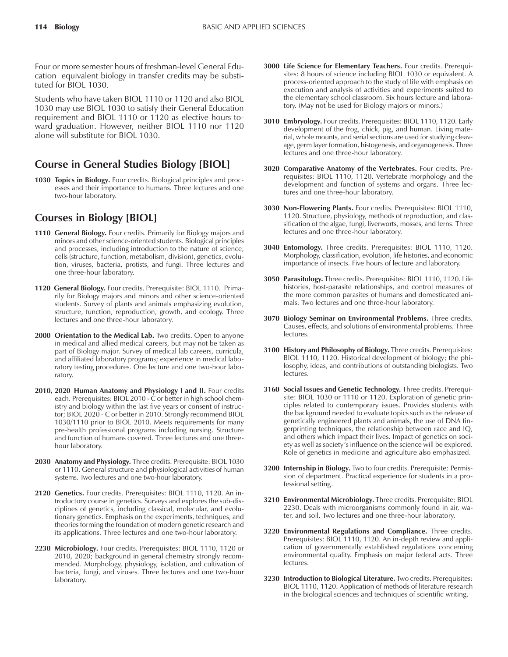Four or more semester hours of freshman-level General Education equivalent biology in transfer credits may be substituted for BIOL 1030.

Students who have taken BIOL 1110 or 1120 and also BIOL 1030 may use BIOL 1030 to satisfy their General Education requirement and BIOL 1110 or 1120 as elective hours toward graduation. However, neither BIOL 1110 nor 1120 alone will substitute for BIOL 1030.

# **Course in General Studies Biology [BIOL]**

**1030 Topics in Biology.** Four credits. Biological principles and processes and their importance to humans. Three lectures and one two-hour laboratory.

# **Courses in Biology [BIOL]**

- **1110 General Biology.** Four credits. Primarily for Biology majors and minors and other science-oriented students. Biological principles and processes, including introduction to the nature of science, cells (structure, function, metabolism, division), genetics, evolution, viruses, bacteria, protists, and fungi. Three lectures and one three-hour laboratory.
- **1120 General Biology.** Four credits. Prerequisite: BIOL 1110. Primarily for Biology majors and minors and other science-oriented students. Survey of plants and animals emphasizing evolution, structure, function, reproduction, growth, and ecology. Three lectures and one three-hour laboratory.
- **2000 Orientation to the Medical Lab.** Two credits. Open to anyone in medical and allied medical careers, but may not be taken as part of Biology major. Survey of medical lab careers, curricula, and affiliated laboratory programs; experience in medical laboratory testing procedures. One lecture and one two-hour laboratory.
- 2010, 2020 Human Anatomy and Physiology I and II. Four credits each. Prerequisites: BIOL 2010 - C or better in high school chemistry and biology within the last five years or consent of instructor; BIOL 2020 - C or better in 2010. Strongly recommend BIOL 1030/1110 prior to BIOL 2010. Meets requirements for many pre-health professional programs including nursing. Structure and function of humans covered. Three lectures and one threehour laboratory.
- **2030 Anatomy and Physiology.** Three credits. Prerequisite: BIOL 1030 or 1110. General structure and physiological activities of human systems. Two lectures and one two-hour laboratory.
- **2120 Genetics.** Four credits. Prerequisites: BIOL 1110, 1120. An introductory course in genetics. Surveys and explores the sub-disciplines of genetics, including classical, molecular, and evolutionary genetics. Emphasis on the experiments, techniques, and theories forming the foundation of modern genetic research and its applications. Three lectures and one two-hour laboratory.
- **2230 Microbiology.** Four credits. Prerequisites: BIOL 1110, 1120 or 2010, 2020; background in general chemistry strongly recommended. Morphology, physiology, isolation, and cultivation of bacteria, fungi, and viruses. Three lectures and one two-hour laboratory.
- **3000 Life Science for Elementary Teachers.** Four credits. Prerequisites: 8 hours of science including BIOL 1030 or equivalent. A process-oriented approach to the study of life with emphasis on execution and analysis of activities and experiments suited to the elementary school classroom. Six hours lecture and laboratory. (May not be used for Biology majors or minors.)
- **3010 Embryology.** Four credits. Prerequisites: BIOL 1110, 1120. Early development of the frog, chick, pig, and human. Living material, whole mounts, and serial sections are used for studying cleavage, germ layer formation, histogenesis, and organogenesis. Three lectures and one three-hour laboratory.
- **3020 Comparative Anatomy of the Vertebrates.** Four credits. Prerequisites: BIOL 1110, 1120. Vertebrate morphology and the development and function of systems and organs. Three lectures and one three-hour laboratory.
- **3030 Non-Flowering Plants.** Four credits. Prerequisites: BIOL 1110, 1120. Structure, physiology, methods of reproduction, and classification of the algae, fungi, liverworts, mosses, and ferns. Three lectures and one three-hour laboratory.
- **3040 Entomology.** Three credits. Prerequisites: BIOL 1110, 1120. Morphology, classification, evolution, life histories, and economic importance of insects. Five hours of lecture and laboratory.
- **3050 Parasitology.** Three credits. Prerequisites: BIOL 1110, 1120. Life histories, host-parasite relationships, and control measures of the more common parasites of humans and domesticated animals. Two lectures and one three-hour laboratory.
- **3070 Biology Seminar on Environmental Problems.** Three credits. Causes, effects, and solutions of environmental problems. Three lectures.
- **3100 History and Philosophy of Biology.** Three credits. Prerequisites: BIOL 1110, 1120. Historical development of biology; the philosophy, ideas, and contributions of outstanding biologists. Two lectures.
- **3160 Social Issues and Genetic Technology.** Three credits. Prerequisite: BIOL 1030 or 1110 or 1120. Exploration of genetic principles related to contemporary issues. Provides students with the background needed to evaluate topics such as the release of genetically engineered plants and animals, the use of DNA fingerprinting techniques, the relationship between race and IQ, and others which impact their lives. Impact of genetics on society as well as societyís influence on the science will be explored. Role of genetics in medicine and agriculture also emphasized.
- **3200 Internship in Biology.** Two to four credits. Prerequisite: Permission of department. Practical experience for students in a professional setting.
- **3210 Environmental Microbiology.** Three credits. Prerequisite: BIOL 2230. Deals with microorganisms commonly found in air, water, and soil. Two lectures and one three-hour laboratory.
- **3220 Environmental Regulations and Compliance.** Three credits. Prerequisites: BIOL 1110, 1120. An in-depth review and application of governmentally established regulations concerning environmental quality. Emphasis on major federal acts. Three lectures.
- **3230 Introduction to Biological Literature.** Two credits. Prerequisites: BIOL 1110, 1120. Application of methods of literature research in the biological sciences and techniques of scientific writing.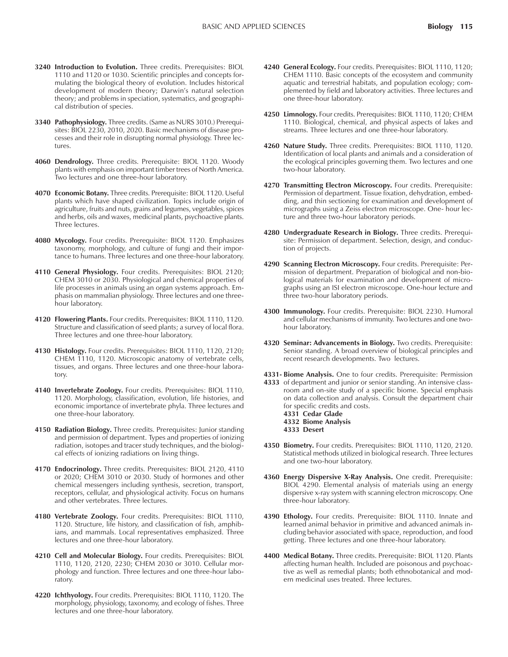- **3240 Introduction to Evolution.** Three credits. Prerequisites: BIOL 1110 and 1120 or 1030. Scientific principles and concepts formulating the biological theory of evolution. Includes historical development of modern theory; Darwin's natural selection theory; and problems in speciation, systematics, and geographical distribution of species.
- **3340 Pathophysiology.** Three credits. (Same as NURS 3010.) Prerequisites: BIOL 2230, 2010, 2020. Basic mechanisms of disease processes and their role in disrupting normal physiology. Three lectures.
- **4060 Dendrology.** Three credits. Prerequisite: BIOL 1120. Woody plants with emphasis on important timber trees of North America. Two lectures and one three-hour laboratory.
- **4070 Economic Botany.** Three credits. Prerequisite: BIOL 1120. Useful plants which have shaped civilization. Topics include origin of agriculture, fruits and nuts, grains and legumes, vegetables, spices and herbs, oils and waxes, medicinal plants, psychoactive plants. Three lectures.
- **4080 Mycology.** Four credits. Prerequisite: BIOL 1120. Emphasizes taxonomy, morphology, and culture of fungi and their importance to humans. Three lectures and one three-hour laboratory.
- **4110 General Physiology.** Four credits. Prerequisites: BIOL 2120; CHEM 3010 or 2030. Physiological and chemical properties of life processes in animals using an organ systems approach. Emphasis on mammalian physiology. Three lectures and one threehour laboratory.
- **4120 Flowering Plants.** Four credits. Prerequisites: BIOL 1110, 1120. Structure and classification of seed plants; a survey of local flora. Three lectures and one three-hour laboratory.
- **4130 Histology.** Four credits. Prerequisites: BIOL 1110, 1120, 2120; CHEM 1110, 1120. Microscopic anatomy of vertebrate cells, tissues, and organs. Three lectures and one three-hour laboratory.
- **4140 Invertebrate Zoology.** Four credits. Prerequisites: BIOL 1110, 1120. Morphology, classification, evolution, life histories, and economic importance of invertebrate phyla. Three lectures and one three-hour laboratory.
- **4150 Radiation Biology.** Three credits. Prerequisites: Junior standing and permission of department. Types and properties of ionizing radiation, isotopes and tracer study techniques, and the biological effects of ionizing radiations on living things.
- **4170 Endocrinology.** Three credits. Prerequisites: BIOL 2120, 4110 or 2020; CHEM 3010 or 2030. Study of hormones and other chemical messengers including synthesis, secretion, transport, receptors, cellular, and physiological activity. Focus on humans and other vertebrates. Three lectures.
- **4180 Vertebrate Zoology.** Four credits. Prerequisites: BIOL 1110, 1120. Structure, life history, and classification of fish, amphibians, and mammals. Local representatives emphasized. Three lectures and one three-hour laboratory.
- **4210 Cell and Molecular Biology.** Four credits. Prerequisites: BIOL 1110, 1120, 2120, 2230; CHEM 2030 or 3010. Cellular morphology and function. Three lectures and one three-hour laboratory.
- **4220 Ichthyology.** Four credits. Prerequisites: BIOL 1110, 1120. The morphology, physiology, taxonomy, and ecology of fishes. Three lectures and one three-hour laboratory.
- **4240 General Ecology.** Four credits. Prerequisites: BIOL 1110, 1120; CHEM 1110. Basic concepts of the ecosystem and community aquatic and terrestrial habitats, and population ecology; complemented by field and laboratory activities. Three lectures and one three-hour laboratory.
- **4250 Limnology.** Four credits. Prerequisites: BIOL 1110, 1120; CHEM 1110. Biological, chemical, and physical aspects of lakes and streams. Three lectures and one three-hour laboratory.
- **4260 Nature Study.** Three credits. Prerequisites: BIOL 1110, 1120. Identification of local plants and animals and a consideration of the ecological principles governing them. Two lectures and one two-hour laboratory.
- **4270 Transmitting Electron Microscopy.** Four credits. Prerequisite: Permission of department. Tissue fixation, dehydration, embedding, and thin sectioning for examination and development of micrographs using a Zeiss electron microscope. One- hour lecture and three two-hour laboratory periods.
- **4280 Undergraduate Research in Biology.** Three credits. Prerequisite: Permission of department. Selection, design, and conduction of projects.
- **4290 Scanning Electron Microscopy.** Four credits. Prerequisite: Permission of department. Preparation of biological and non-biological materials for examination and development of micrographs using an ISI electron microscope. One-hour lecture and three two-hour laboratory periods.
- **4300 Immunology.** Four credits. Prerequisite: BIOL 2230. Humoral and cellular mechanisms of immunity. Two lectures and one twohour laboratory.
- **4320 Seminar: Advancements in Biology.** Two credits. Prerequisite: Senior standing. A broad overview of biological principles and recent research developments. Two lectures.
- **4331- Biome Analysis.** One to four credits. Prerequisite: Permission **4333** of department and junior or senior standing. An intensive classroom and on-site study of a specific biome. Special emphasis on data collection and analysis. Consult the department chair for specific credits and costs. **4331 Cedar Glade 4332 Biome Analysis 4333 Desert**
- **4350 Biometry.** Four credits. Prerequisites: BIOL 1110, 1120, 2120. Statistical methods utilized in biological research. Three lectures and one two-hour laboratory.
- **4360 Energy Dispersive X-Ray Analysis.** One credit. Prerequisite: BIOL 4290. Elemental analysis of materials using an energy dispersive x-ray system with scanning electron microscopy. One three-hour laboratory.
- **4390 Ethology.** Four credits. Prerequisite: BIOL 1110. Innate and learned animal behavior in primitive and advanced animals including behavior associated with space, reproduction, and food getting. Three lectures and one three-hour laboratory.
- **4400 Medical Botany.** Three credits. Prerequisite: BIOL 1120. Plants affecting human health. Included are poisonous and psychoactive as well as remedial plants; both ethnobotanical and modern medicinal uses treated. Three lectures.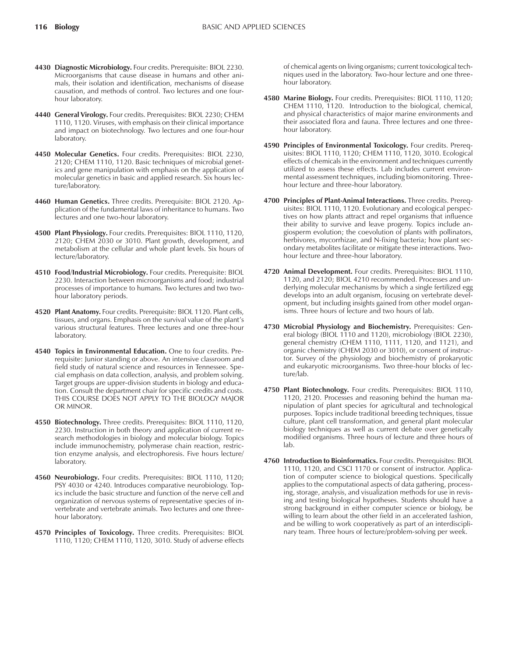- **4430 Diagnostic Microbiology.** Four credits. Prerequisite: BIOL 2230. Microorganisms that cause disease in humans and other animals, their isolation and identification, mechanisms of disease causation, and methods of control. Two lectures and one fourhour laboratory.
- **4440 General Virology.** Four credits. Prerequisites: BIOL 2230; CHEM 1110, 1120. Viruses, with emphasis on their clinical importance and impact on biotechnology. Two lectures and one four-hour laboratory.
- **4450 Molecular Genetics.** Four credits. Prerequisites: BIOL 2230, 2120; CHEM 1110, 1120. Basic techniques of microbial genetics and gene manipulation with emphasis on the application of molecular genetics in basic and applied research. Six hours lecture/laboratory.
- **4460 Human Genetics.** Three credits. Prerequisite: BIOL 2120. Application of the fundamental laws of inheritance to humans. Two lectures and one two-hour laboratory.
- **4500 Plant Physiology.** Four credits. Prerequisites: BIOL 1110, 1120, 2120; CHEM 2030 or 3010. Plant growth, development, and metabolism at the cellular and whole plant levels. Six hours of lecture/laboratory.
- **4510 Food/Industrial Microbiology.** Four credits. Prerequisite: BIOL 2230. Interaction between microorganisms and food; industrial processes of importance to humans. Two lectures and two twohour laboratory periods.
- **4520 Plant Anatomy.** Four credits. Prerequisite: BIOL 1120. Plant cells, tissues, and organs. Emphasis on the survival value of the plant's various structural features. Three lectures and one three-hour laboratory.
- **4540 Topics in Environmental Education.** One to four credits. Prerequisite: Junior standing or above. An intensive classroom and field study of natural science and resources in Tennessee. Special emphasis on data collection, analysis, and problem solving. Target groups are upper-division students in biology and education. Consult the department chair for specific credits and costs. THIS COURSE DOES NOT APPLY TO THE BIOLOGY MAJOR OR MINOR.
- **4550 Biotechnology.** Three credits. Prerequisites: BIOL 1110, 1120, 2230. Instruction in both theory and application of current research methodologies in biology and molecular biology. Topics include immunochemistry, polymerase chain reaction, restriction enzyme analysis, and electrophoresis. Five hours lecture/ laboratory.
- **4560 Neurobiology.** Four credits. Prerequisites: BIOL 1110, 1120; PSY 4030 or 4240. Introduces comparative neurobiology. Topics include the basic structure and function of the nerve cell and organization of nervous systems of representative species of invertebrate and vertebrate animals. Two lectures and one threehour laboratory.
- **4570 Principles of Toxicology.** Three credits. Prerequisites: BIOL 1110, 1120; CHEM 1110, 1120, 3010. Study of adverse effects

of chemical agents on living organisms; current toxicological techniques used in the laboratory. Two-hour lecture and one threehour laboratory.

- **4580 Marine Biology.** Four credits. Prerequisites: BIOL 1110, 1120; CHEM 1110, 1120. Introduction to the biological, chemical, and physical characteristics of major marine environments and their associated flora and fauna. Three lectures and one threehour laboratory.
- **4590 Principles of Environmental Toxicology.** Four credits. Prerequisites: BIOL 1110, 1120; CHEM 1110, 1120, 3010. Ecological effects of chemicals in the environment and techniques currently utilized to assess these effects. Lab includes current environmental assessment techniques, including biomonitoring. Threehour lecture and three-hour laboratory.
- **4700 Principles of Plant-Animal Interactions.** Three credits. Prerequisites: BIOL 1110, 1120. Evolutionary and ecological perspectives on how plants attract and repel organisms that influence their ability to survive and leave progeny. Topics include angiosperm evolution; the coevolution of plants with pollinators, herbivores, mycorrhizae, and N-fixing bacteria; how plant secondary metabolites facilitate or mitigate these interactions. Twohour lecture and three-hour laboratory.
- **4720 Animal Development.** Four credits. Prerequisites: BIOL 1110, 1120, and 2120; BIOL 4210 recommended. Processes and underlying molecular mechanisms by which a single fertilized egg develops into an adult organism, focusing on vertebrate development, but including insights gained from other model organisms. Three hours of lecture and two hours of lab.
- **4730 Microbial Physiology and Biochemistry.** Prerequisites: General biology (BIOL 1110 and 1120), microbiology (BIOL 2230), general chemistry (CHEM 1110, 1111, 1120, and 1121), and organic chemistry (CHEM 2030 or 3010), or consent of instructor. Survey of the physiology and biochemistry of prokaryotic and eukaryotic microorganisms. Two three-hour blocks of lecture/lab.
- **4750 Plant Biotechnology.** Four credits. Prerequisites: BIOL 1110, 1120, 2120. Processes and reasoning behind the human manipulation of plant species for agricultural and technological purposes. Topics include traditional breeding techniques, tissue culture, plant cell transformation, and general plant molecular biology techniques as well as current debate over genetically modified organisms. Three hours of lecture and three hours of lab.
- **4760 Introduction to Bioinformatics.** Four credits. Prerequisites: BIOL 1110, 1120, and CSCI 1170 or consent of instructor. Application of computer science to biological questions. Specifically applies to the computational aspects of data gathering, processing, storage, analysis, and visualization methods for use in revising and testing biological hypotheses. Students should have a strong background in either computer science or biology, be willing to learn about the other field in an accelerated fashion, and be willing to work cooperatively as part of an interdisciplinary team. Three hours of lecture/problem-solving per week.